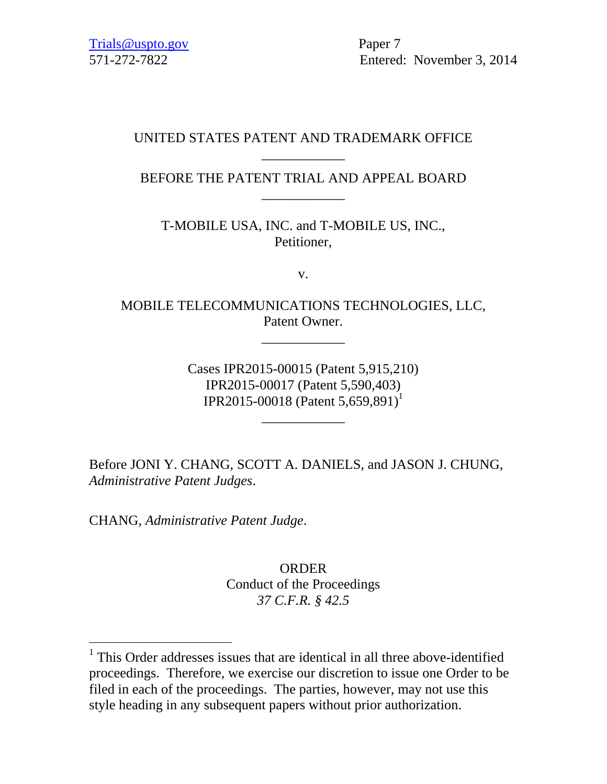Trials @uspto.gov Paper 7

571-272-7822 Entered: November 3, 2014

## UNITED STATES PATENT AND TRADEMARK OFFICE \_\_\_\_\_\_\_\_\_\_\_\_

# BEFORE THE PATENT TRIAL AND APPEAL BOARD \_\_\_\_\_\_\_\_\_\_\_\_

T-MOBILE USA, INC. and T-MOBILE US, INC., Petitioner,

v.

MOBILE TELECOMMUNICATIONS TECHNOLOGIES, LLC, Patent Owner.

\_\_\_\_\_\_\_\_\_\_\_\_

Cases IPR2015-00015 (Patent 5,915,210) IPR2015-00017 (Patent 5,590,403) IPR2015-00018 (Patent 5,659,891)<sup>1</sup>

\_\_\_\_\_\_\_\_\_\_\_\_

Before JONI Y. CHANG, SCOTT A. DANIELS, and JASON J. CHUNG, *Administrative Patent Judges*.

CHANG, *Administrative Patent Judge*.

 $\overline{a}$ 

ORDER Conduct of the Proceedings *37 C.F.R. § 42.5* 

<sup>&</sup>lt;sup>1</sup> This Order addresses issues that are identical in all three above-identified proceedings. Therefore, we exercise our discretion to issue one Order to be filed in each of the proceedings. The parties, however, may not use this style heading in any subsequent papers without prior authorization.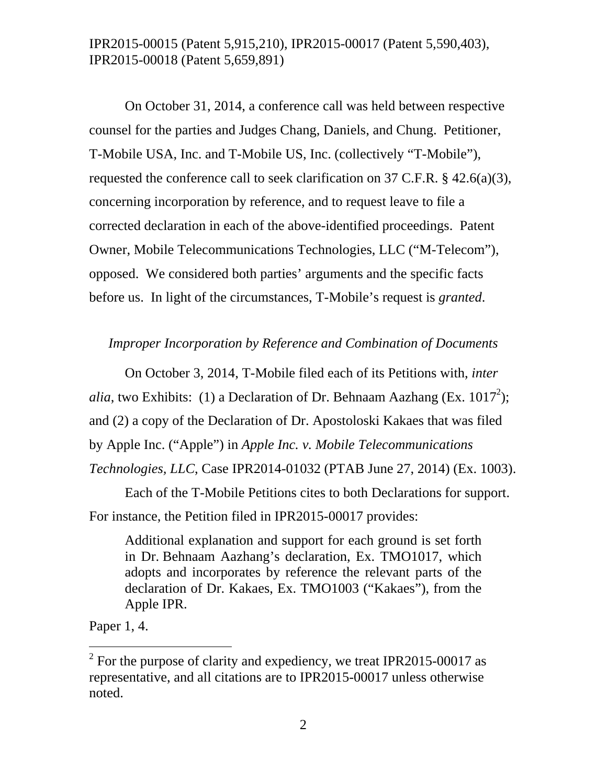## IPR2015-00015 (Patent 5,915,210), IPR2015-00017 (Patent 5,590,403), IPR2015-00018 (Patent 5,659,891)

On October 31, 2014, a conference call was held between respective counsel for the parties and Judges Chang, Daniels, and Chung. Petitioner, T-Mobile USA, Inc. and T-Mobile US, Inc. (collectively "T-Mobile"), requested the conference call to seek clarification on 37 C.F.R. § 42.6(a)(3), concerning incorporation by reference, and to request leave to file a corrected declaration in each of the above-identified proceedings. Patent Owner, Mobile Telecommunications Technologies, LLC ("M-Telecom"), opposed. We considered both parties' arguments and the specific facts before us. In light of the circumstances, T-Mobile's request is *granted*.

### *Improper Incorporation by Reference and Combination of Documents*

 On October 3, 2014, T-Mobile filed each of its Petitions with, *inter alia*, two Exhibits: (1) a Declaration of Dr. Behnaam Aazhang (Ex. 1017<sup>2</sup>); and (2) a copy of the Declaration of Dr. Apostoloski Kakaes that was filed by Apple Inc. ("Apple") in *Apple Inc. v. Mobile Telecommunications Technologies, LLC*, Case IPR2014-01032 (PTAB June 27, 2014) (Ex. 1003).

 Each of the T-Mobile Petitions cites to both Declarations for support. For instance, the Petition filed in IPR2015-00017 provides:

Additional explanation and support for each ground is set forth in Dr. Behnaam Aazhang's declaration, Ex. TMO1017, which adopts and incorporates by reference the relevant parts of the declaration of Dr. Kakaes, Ex. TMO1003 ("Kakaes"), from the Apple IPR.

Paper 1, 4.

 $\overline{a}$ 

<sup>&</sup>lt;sup>2</sup> For the purpose of clarity and expediency, we treat IPR2015-00017 as representative, and all citations are to IPR2015-00017 unless otherwise noted.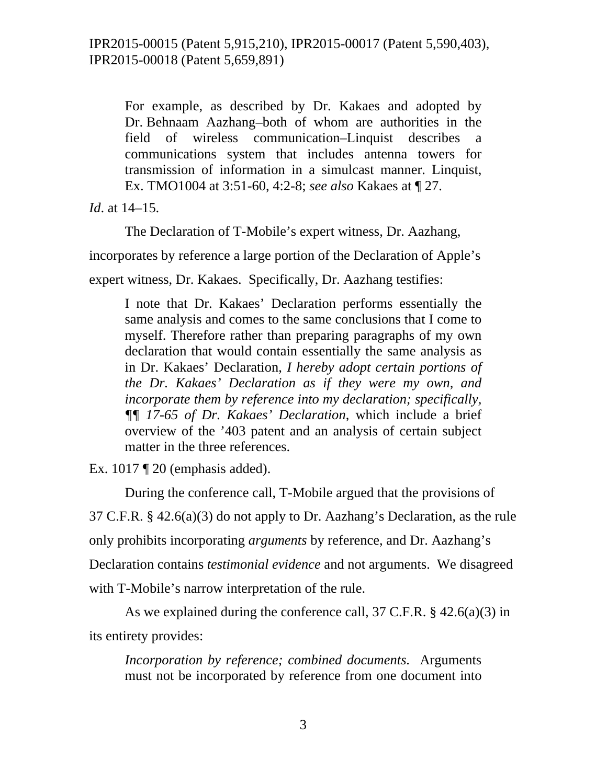For example, as described by Dr. Kakaes and adopted by Dr. Behnaam Aazhang–both of whom are authorities in the field of wireless communication–Linquist describes a communications system that includes antenna towers for transmission of information in a simulcast manner. Linquist, Ex. TMO1004 at 3:51-60, 4:2-8; *see also* Kakaes at ¶ 27.

*Id*. at 14–15.

The Declaration of T-Mobile's expert witness, Dr. Aazhang,

incorporates by reference a large portion of the Declaration of Apple's

expert witness, Dr. Kakaes. Specifically, Dr. Aazhang testifies:

I note that Dr. Kakaes' Declaration performs essentially the same analysis and comes to the same conclusions that I come to myself. Therefore rather than preparing paragraphs of my own declaration that would contain essentially the same analysis as in Dr. Kakaes' Declaration, *I hereby adopt certain portions of the Dr. Kakaes' Declaration as if they were my own, and incorporate them by reference into my declaration; specifically, ¶¶ 17-65 of Dr. Kakaes' Declaration*, which include a brief overview of the '403 patent and an analysis of certain subject matter in the three references.

Ex.  $1017 \text{ T}$  20 (emphasis added).

 During the conference call, T-Mobile argued that the provisions of 37 C.F.R. § 42.6(a)(3) do not apply to Dr. Aazhang's Declaration, as the rule only prohibits incorporating *arguments* by reference, and Dr. Aazhang's Declaration contains *testimonial evidence* and not arguments. We disagreed with T-Mobile's narrow interpretation of the rule.

As we explained during the conference call, 37 C.F.R. § 42.6(a)(3) in its entirety provides:

*Incorporation by reference; combined documents*. Arguments must not be incorporated by reference from one document into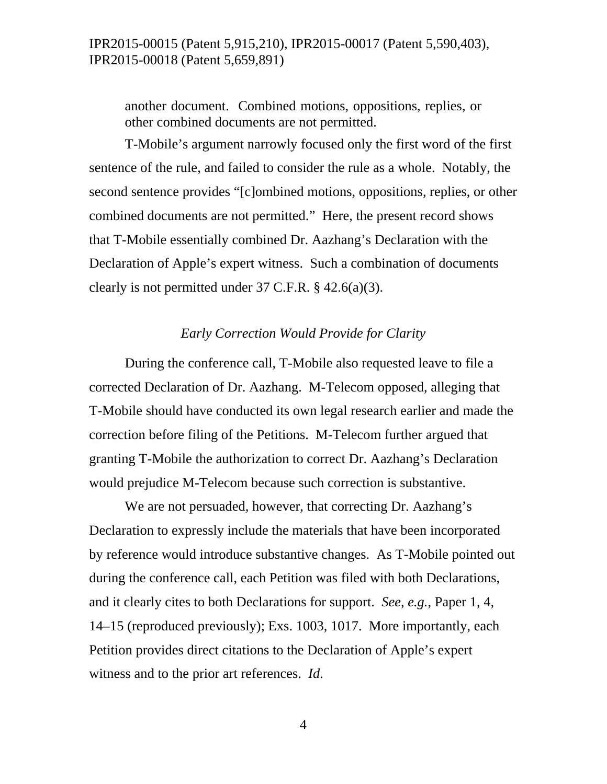another document. Combined motions, oppositions, replies, or other combined documents are not permitted.

T-Mobile's argument narrowly focused only the first word of the first sentence of the rule, and failed to consider the rule as a whole. Notably, the second sentence provides "[c]ombined motions, oppositions, replies, or other combined documents are not permitted." Here, the present record shows that T-Mobile essentially combined Dr. Aazhang's Declaration with the Declaration of Apple's expert witness. Such a combination of documents clearly is not permitted under  $37 \text{ C.F.R. }$  § 42.6(a)(3).

#### *Early Correction Would Provide for Clarity*

During the conference call, T-Mobile also requested leave to file a corrected Declaration of Dr. Aazhang. M-Telecom opposed, alleging that T-Mobile should have conducted its own legal research earlier and made the correction before filing of the Petitions. M-Telecom further argued that granting T-Mobile the authorization to correct Dr. Aazhang's Declaration would prejudice M-Telecom because such correction is substantive.

We are not persuaded, however, that correcting Dr. Aazhang's Declaration to expressly include the materials that have been incorporated by reference would introduce substantive changes. As T-Mobile pointed out during the conference call, each Petition was filed with both Declarations, and it clearly cites to both Declarations for support. *See, e.g.*, Paper 1, 4, 14–15 (reproduced previously); Exs. 1003, 1017. More importantly, each Petition provides direct citations to the Declaration of Apple's expert witness and to the prior art references. *Id*.

4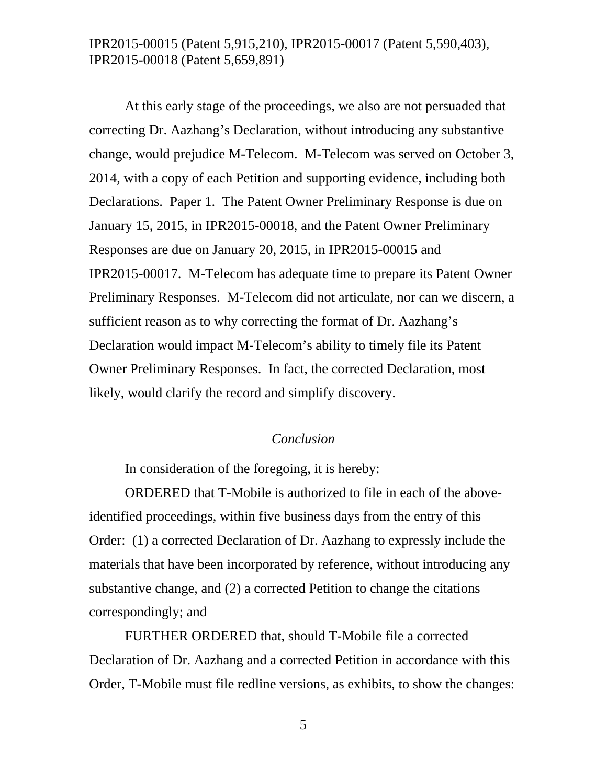IPR2015-00015 (Patent 5,915,210), IPR2015-00017 (Patent 5,590,403), IPR2015-00018 (Patent 5,659,891)

At this early stage of the proceedings, we also are not persuaded that correcting Dr. Aazhang's Declaration, without introducing any substantive change, would prejudice M-Telecom. M-Telecom was served on October 3, 2014, with a copy of each Petition and supporting evidence, including both Declarations. Paper 1. The Patent Owner Preliminary Response is due on January 15, 2015, in IPR2015-00018, and the Patent Owner Preliminary Responses are due on January 20, 2015, in IPR2015-00015 and IPR2015-00017. M-Telecom has adequate time to prepare its Patent Owner Preliminary Responses. M-Telecom did not articulate, nor can we discern, a sufficient reason as to why correcting the format of Dr. Aazhang's Declaration would impact M-Telecom's ability to timely file its Patent Owner Preliminary Responses. In fact, the corrected Declaration, most likely, would clarify the record and simplify discovery.

### *Conclusion*

In consideration of the foregoing, it is hereby:

ORDERED that T-Mobile is authorized to file in each of the aboveidentified proceedings, within five business days from the entry of this Order: (1) a corrected Declaration of Dr. Aazhang to expressly include the materials that have been incorporated by reference, without introducing any substantive change, and (2) a corrected Petition to change the citations correspondingly; and

FURTHER ORDERED that, should T-Mobile file a corrected Declaration of Dr. Aazhang and a corrected Petition in accordance with this Order, T-Mobile must file redline versions, as exhibits, to show the changes: